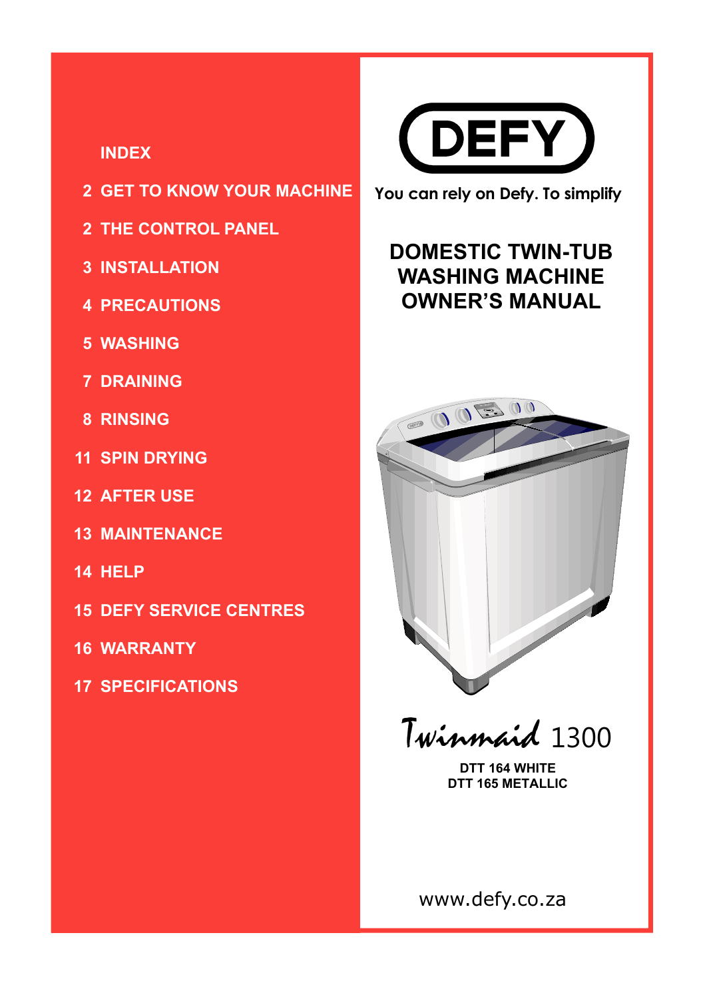#### **INDEX**

- **GET TO KNOW YOUR MACHINE 2**
- **THE CONTROL PANEL 2**
- **INSTALLATION 3**
- **PRECAUTIONS 4**
- **WASHING 5**
- **DRAINING 7**
- **RINSING 8**
- **SPIN DRYING 11**
- **AFTER USE 12**
- **MAINTENANCE 13**
- **HELP 14**
- **15 DEFY SERVICE CENTRES**
- **WARRANTY 16**
- **SPECIFICATIONS 17**



**You can rely on Defy. To simplify**

#### **DOMESTIC TWIN-TUB WASHING MACHINE OWNER'S MANUAL**



Twinmaid 1300

**DTT 164 WHITE DTT 165 METALLIC**

www.defy.co.za

Page 1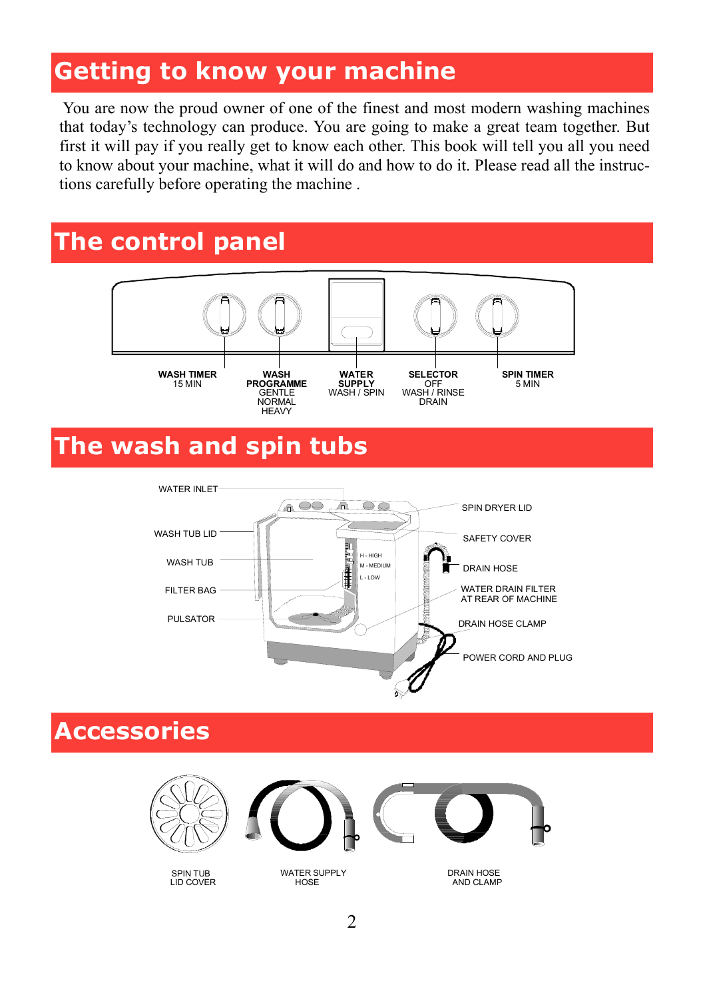#### **Getting to know your machine**

 You are now the proud owner of one of the finest and most modern washing machines that today's technology can produce. You are going to make a great team together. But first it will pay if you really get to know each other. This book will tell you all you need to know about your machine, what it will do and how to do it. Please read all the instructions carefully before operating the machine .

#### **The control panel**



## **The wash and spin tubs**



#### **Accessories**







SPIN TUB LID COVER

WATER SUPPLY **HOSE** 

DRAIN HOSE AND CLAMP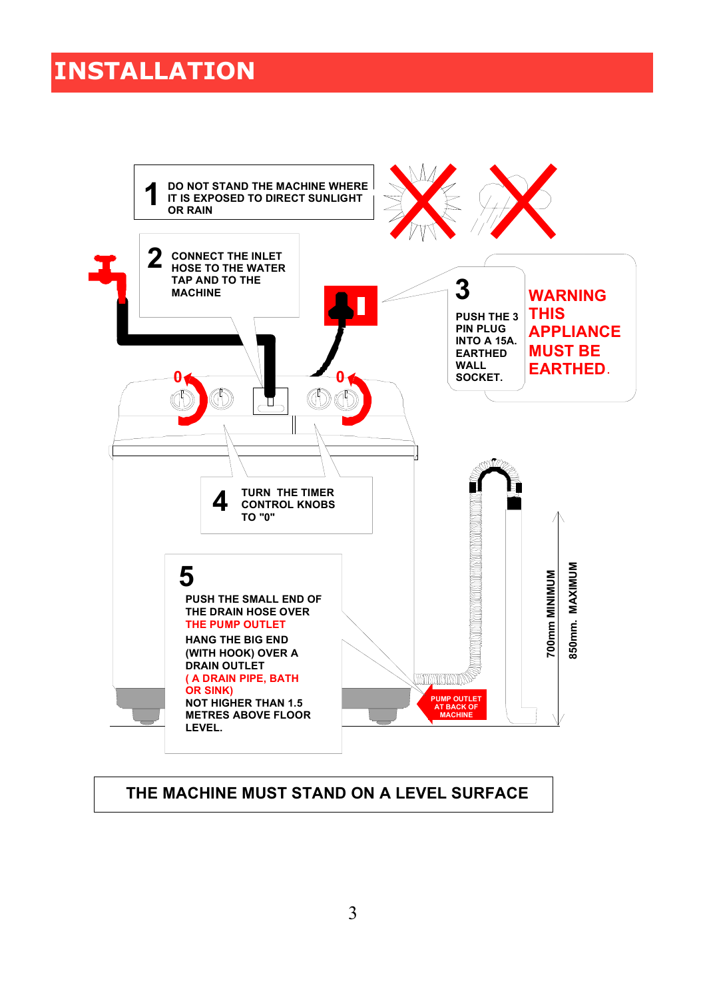#### **INSTALLATION**



#### **THE MACHINE MUST STAND ON A LEVEL SURFACE**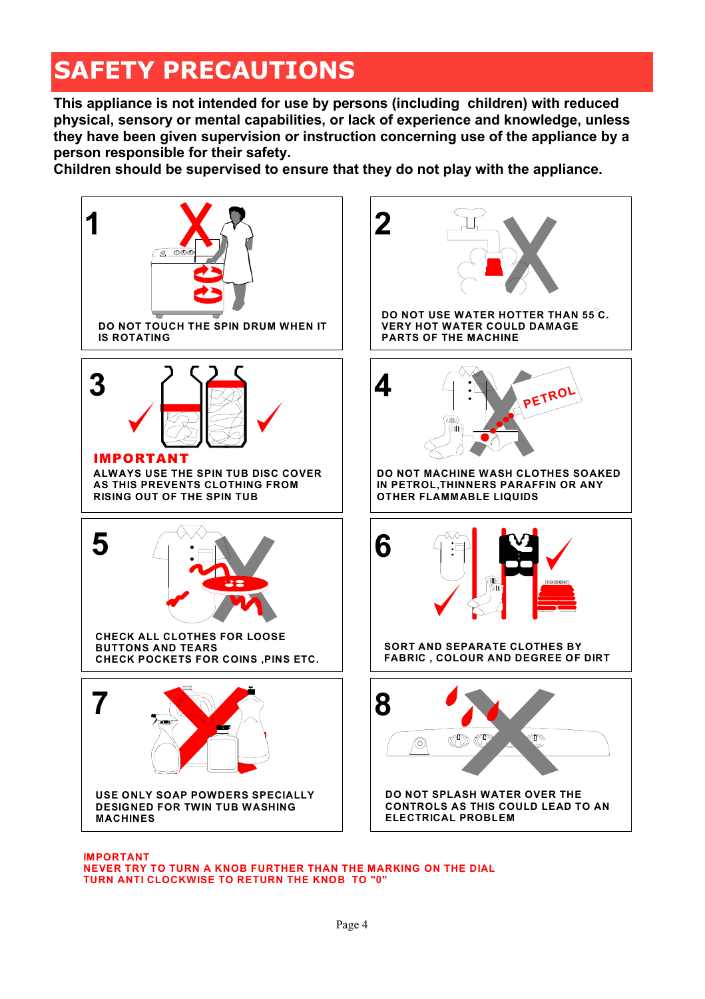# **SAFETY PRECAUTIONS**

**This appliance is not intended for use by persons (including children) with reduced physical, sensory or mental capabilities, or lack of experience and knowledge, unless they have been given supervision or instruction concerning use of the appliance by a person responsible for their safety.** 

**Children should be supervised to ensure that they do not play with the appliance.** 



**IMPORTANT NEVER TRY TO TURN A KNOB FURTHER THAN THE MARKING ON THE DIAL TURN ANTI CLOCKWISE TO RETURN THE KNOB TO "0"**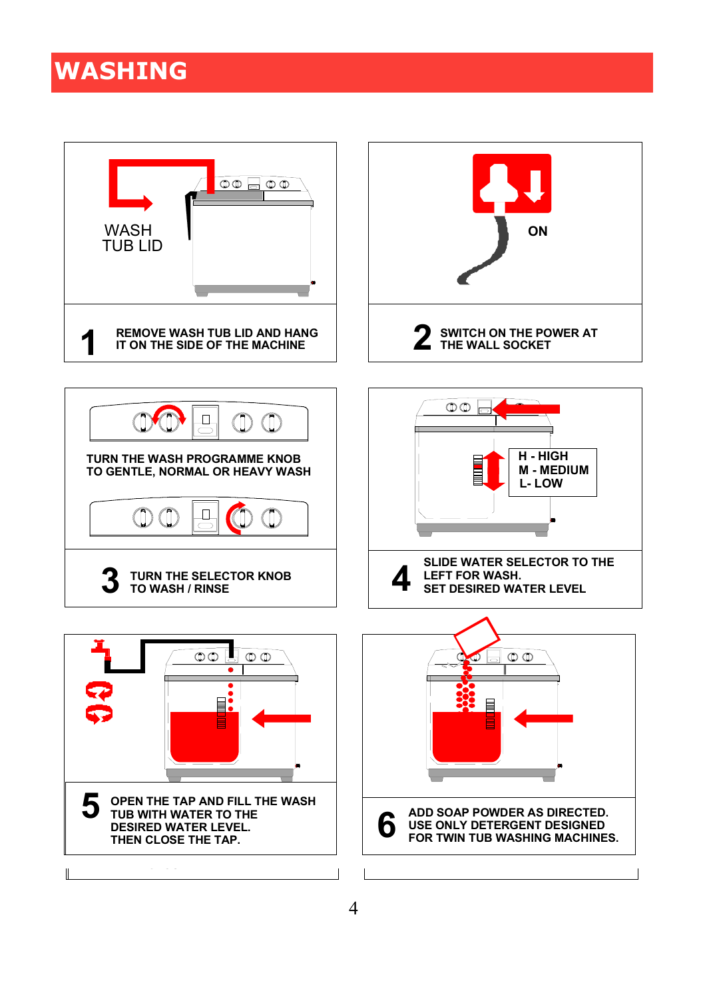## **WASHING**

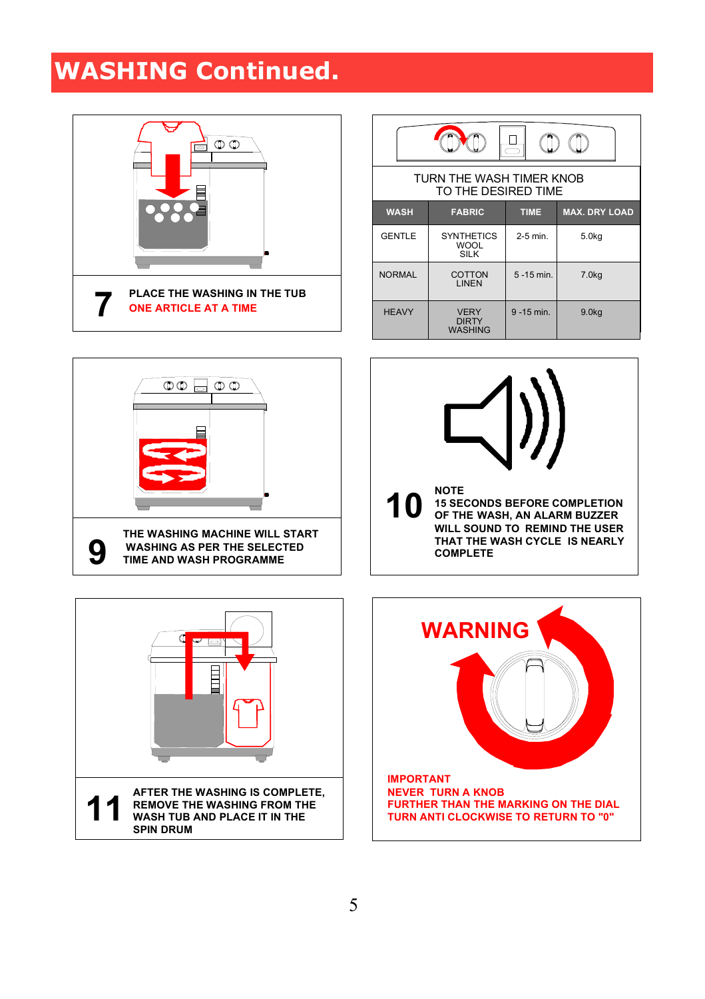# **WASHING Continued.**



| $\equiv$                                        |                                                 |               |                      |  |
|-------------------------------------------------|-------------------------------------------------|---------------|----------------------|--|
| TURN THE WASH TIMER KNOB<br>TO THE DESIRED TIME |                                                 |               |                      |  |
| <b>WASH</b>                                     | <b>FABRIC</b>                                   | <b>TIME</b>   | <b>MAX. DRY LOAD</b> |  |
| <b>GENTLE</b>                                   | <b>SYNTHETICS</b><br><b>WOOL</b><br><b>SILK</b> | $2-5$ min.    | 5.0 <sub>kq</sub>    |  |
| <b>NORMAL</b>                                   | COTTON<br>LINEN                                 | $5 - 15$ min. | 7.0 <sub>kq</sub>    |  |
| <b>HEAVY</b>                                    | <b>VERY</b><br><b>DIRTY</b><br><b>WASHING</b>   | $9 - 15$ min. | 9.0 <sub>kq</sub>    |  |







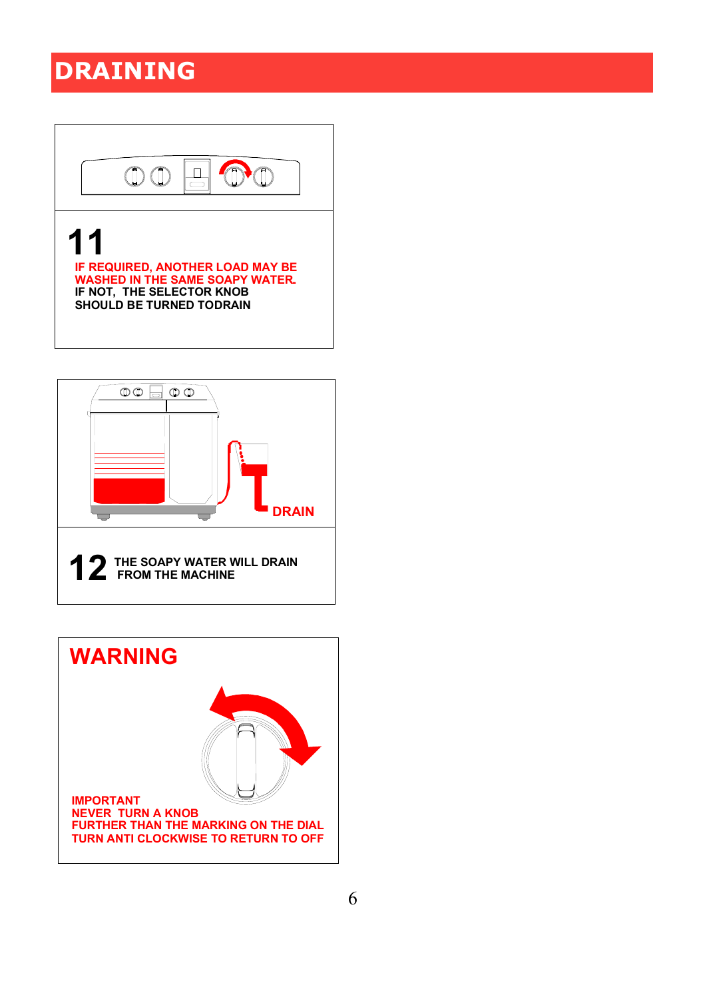## **DRAINING**



**WASHED IN THE SAME SOAPY WATER.. IF NOT, THE SELECTOR KNOB SHOULD BE TURNED TO DRAIN**



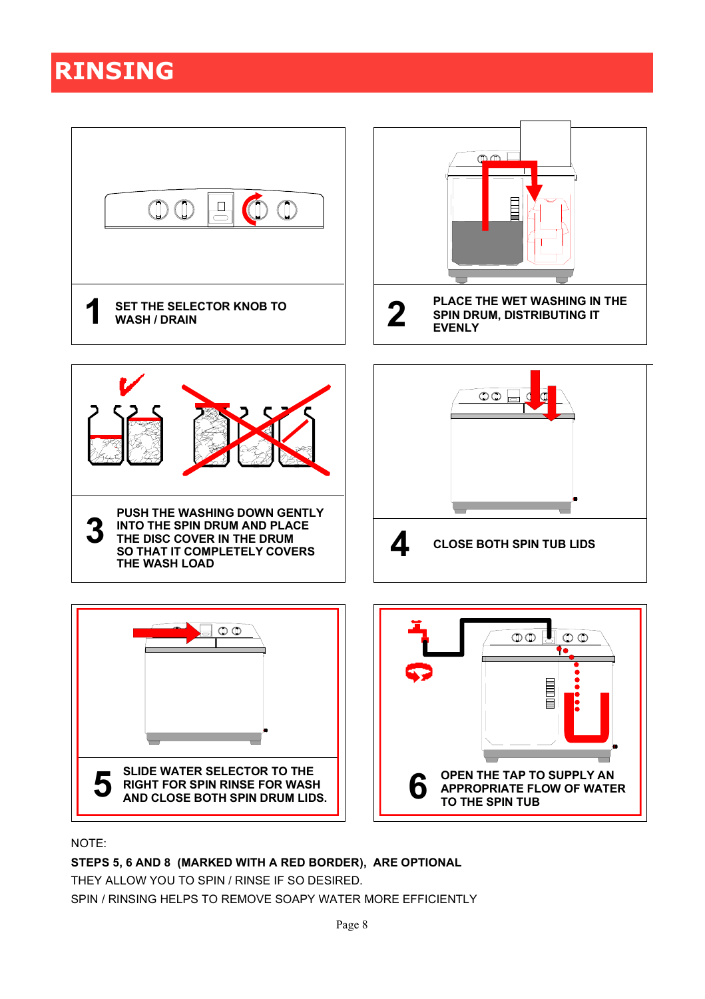## **RINSING**



NOTE:

**STEPS 5, 6 AND 8 (MARKED WITH A RED BORDER), ARE OPTIONAL**

THEY ALLOW YOU TO SPIN / RINSE IF SO DESIRED.

SPIN / RINSING HELPS TO REMOVE SOAPY WATER MORE EFFICIENTLY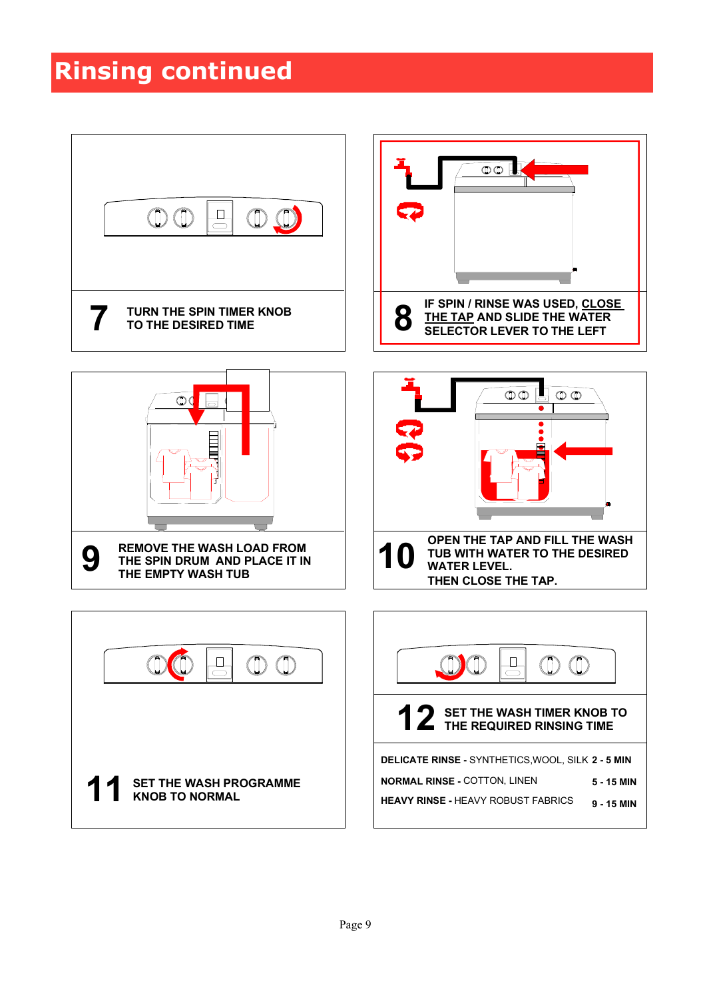#### **Rinsing continued**

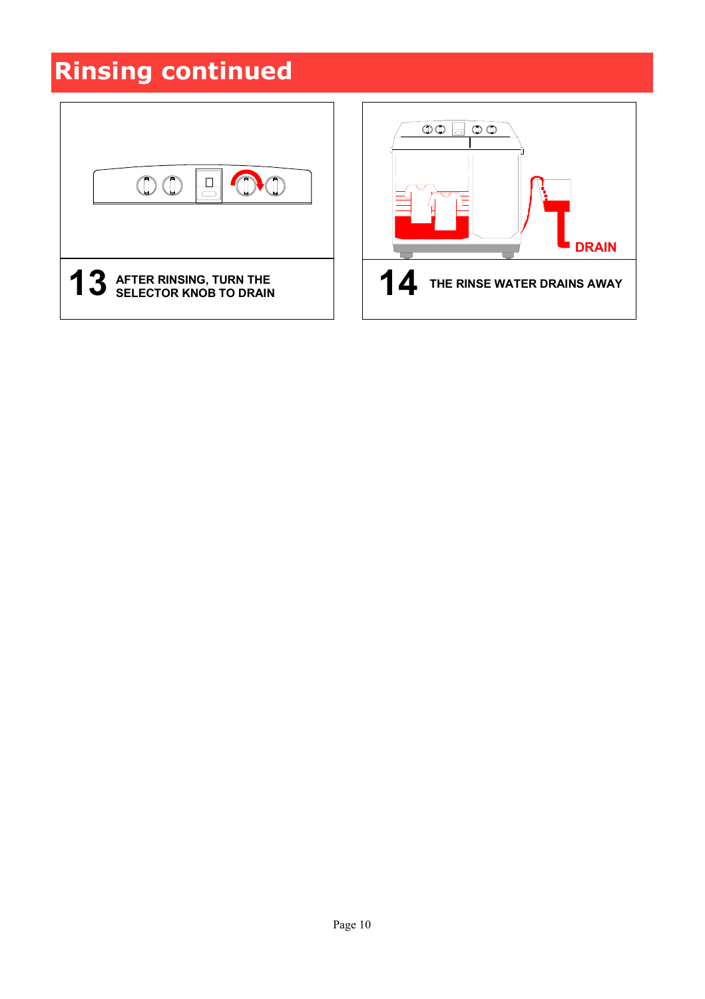# **Rinsing continued**



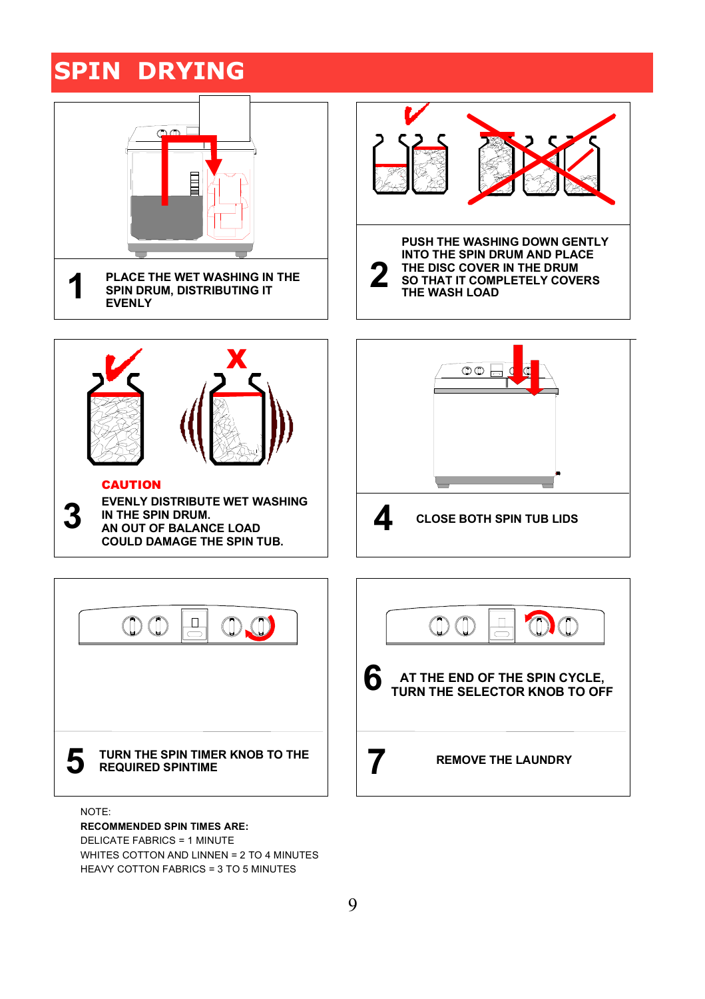#### **SPIN DRYING**



9

HEAVY COTTON FABRICS = 3 TO 5 MINUTES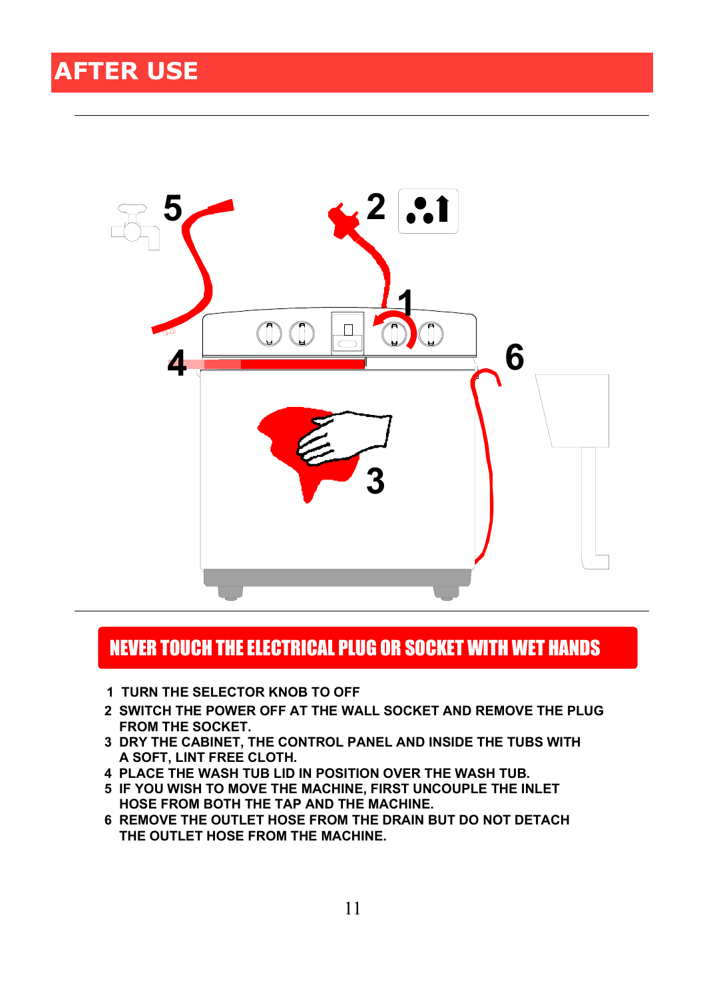

#### NEVER TOUCH THE ELECTRICAL PLUG OR SOCKET WITH WET HANDS

- **1 TURN THE SELECTOR KNOB TO OFF**
- **2 SWITCH THE POWER OFF AT THE WALL SOCKET AND REMOVE THE PLUG FROM THE SOCKET.**
- **3 DRY THE CABINET, THE CONTROL PANEL AND INSIDE THE TUBS WITH A SOFT, LINT FREE CLOTH.**
- **4 PLACE THE WASH TUB LID IN POSITION OVER THE WASH TUB.**
- **5 IF YOU WISH TO MOVE THE MACHINE, FIRST UNCOUPLE THE INLET HOSE FROM BOTH THE TAP AND THE MACHINE.**
- **6 REMOVE THE OUTLET HOSE FROM THE DRAIN BUT DO NOT DETACH THE OUTLET HOSE FROM THE MACHINE.**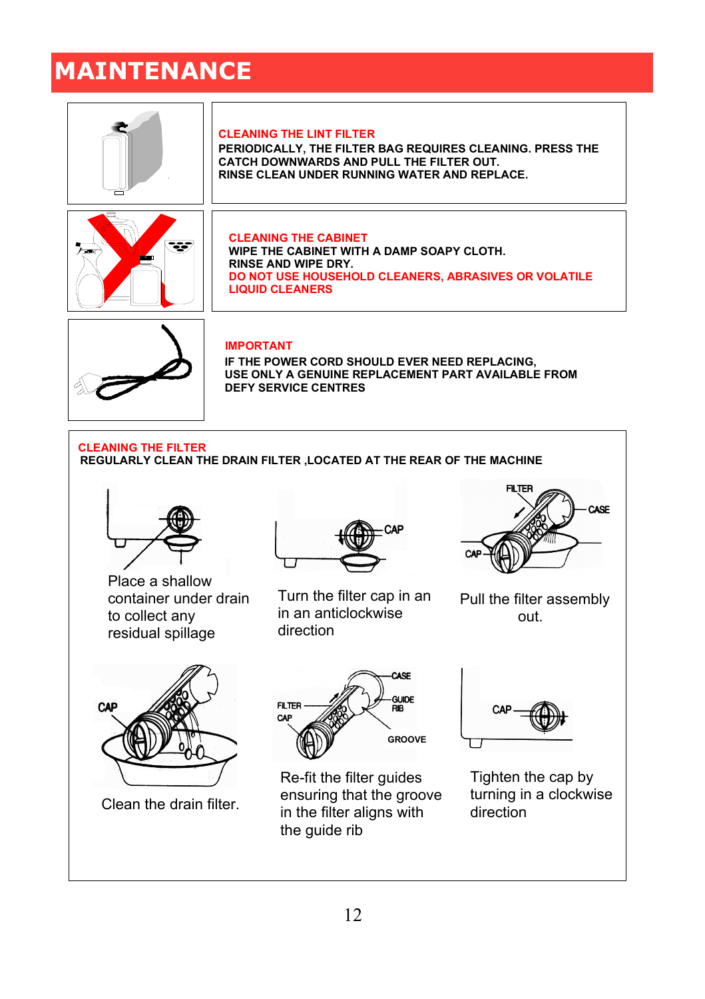# **MAINTENANCE**

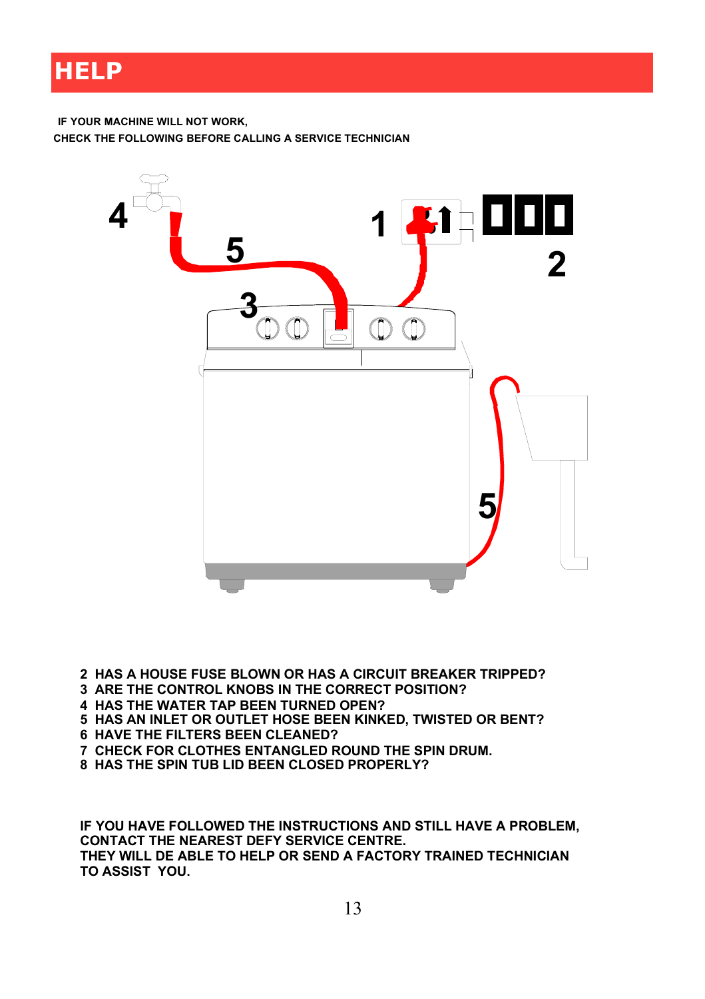#### **HELP**

**IF YOUR MACHINE WILL NOT WORK, CHECK THE FOLLOWING BEFORE CALLING A SERVICE TECHNICIAN**



- **2 HAS A HOUSE FUSE BLOWN OR HAS A CIRCUIT BREAKER TRIPPED?**
- **3 ARE THE CONTROL KNOBS IN THE CORRECT POSITION?**
- **4 HAS THE WATER TAP BEEN TURNED OPEN?**
- **5 HAS AN INLET OR OUTLET HOSE BEEN KINKED, TWISTED OR BENT?**
- **6 HAVE THE FILTERS BEEN CLEANED?**
- **7 CHECK FOR CLOTHES ENTANGLED ROUND THE SPIN DRUM.**
- **8 HAS THE SPIN TUB LID BEEN CLOSED PROPERLY?**

**IF YOU HAVE FOLLOWED THE INSTRUCTIONS AND STILL HAVE A PROBLEM, CONTACT THE NEAREST DEFY SERVICE CENTRE. THEY WILL DE ABLE TO HELP OR SEND A FACTORY TRAINED TECHNICIAN TO ASSIST YOU.**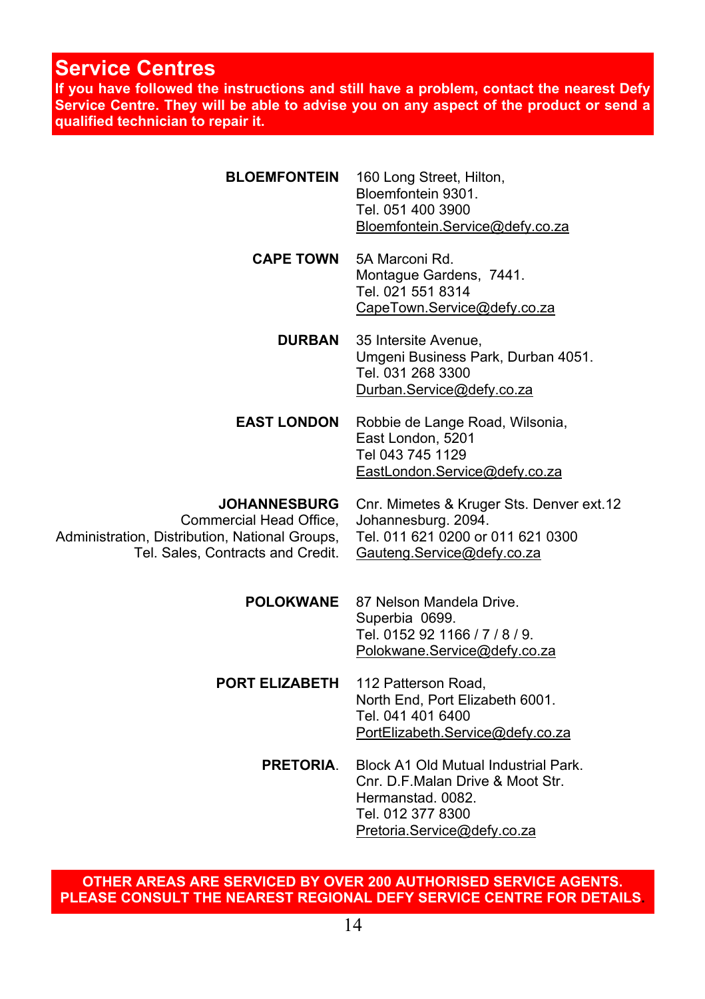#### **Service Centres**

**If you have followed the instructions and still have a problem, contact the nearest Defy Service Centre. They will be able to advise you on any aspect of the product or send a qualified technician to repair it.**

| <b>BLOEMFONTEIN</b>                                                                                                                   | 160 Long Street, Hilton,<br>Bloemfontein 9301.<br>Tel. 051 400 3900<br>Bloemfontein.Service@defy.co.za                                             |  |
|---------------------------------------------------------------------------------------------------------------------------------------|----------------------------------------------------------------------------------------------------------------------------------------------------|--|
| <b>CAPE TOWN</b>                                                                                                                      | 5A Marconi Rd.<br>Montague Gardens, 7441.<br>Tel. 021 551 8314<br>CapeTown.Service@defy.co.za                                                      |  |
| DURBAN                                                                                                                                | 35 Intersite Avenue,<br>Umgeni Business Park, Durban 4051.<br>Tel. 031 268 3300<br>Durban.Service@defy.co.za                                       |  |
| <b>EAST LONDON</b>                                                                                                                    | Robbie de Lange Road, Wilsonia,<br>East London, 5201<br>Tel 043 745 1129<br>EastLondon.Service@defy.co.za                                          |  |
| <b>JOHANNESBURG</b><br>Commercial Head Office,<br>Administration, Distribution, National Groups,<br>Tel. Sales, Contracts and Credit. | Cnr. Mimetes & Kruger Sts. Denver ext.12<br>Johannesburg. 2094.<br>Tel. 011 621 0200 or 011 621 0300<br>Gauteng Service@defy.co.za                 |  |
| <b>POLOKWANE</b>                                                                                                                      | 87 Nelson Mandela Drive.<br>Superbia 0699.<br>Tel. 0152 92 1166 / 7 / 8 / 9.<br>Polokwane.Service@defy.co.za                                       |  |
| PORT ELIZABETH                                                                                                                        | 112 Patterson Road,<br>North End, Port Elizabeth 6001.<br>Tel. 041 401 6400<br>PortElizabeth.Service@defy.co.za                                    |  |
| <b>PRETORIA.</b>                                                                                                                      | Block A1 Old Mutual Industrial Park.<br>Cnr. D.F. Malan Drive & Moot Str.<br>Hermanstad, 0082.<br>Tel. 012 377 8300<br>Pretoria.Service@defy.co.za |  |

**OTHER AREAS ARE SERVICED BY OVER 200 AUTHORISED SERVICE AGENTS. PLEASE CONSULT THE NEAREST REGIONAL DEFY SERVICE CENTRE FOR DETAILS.**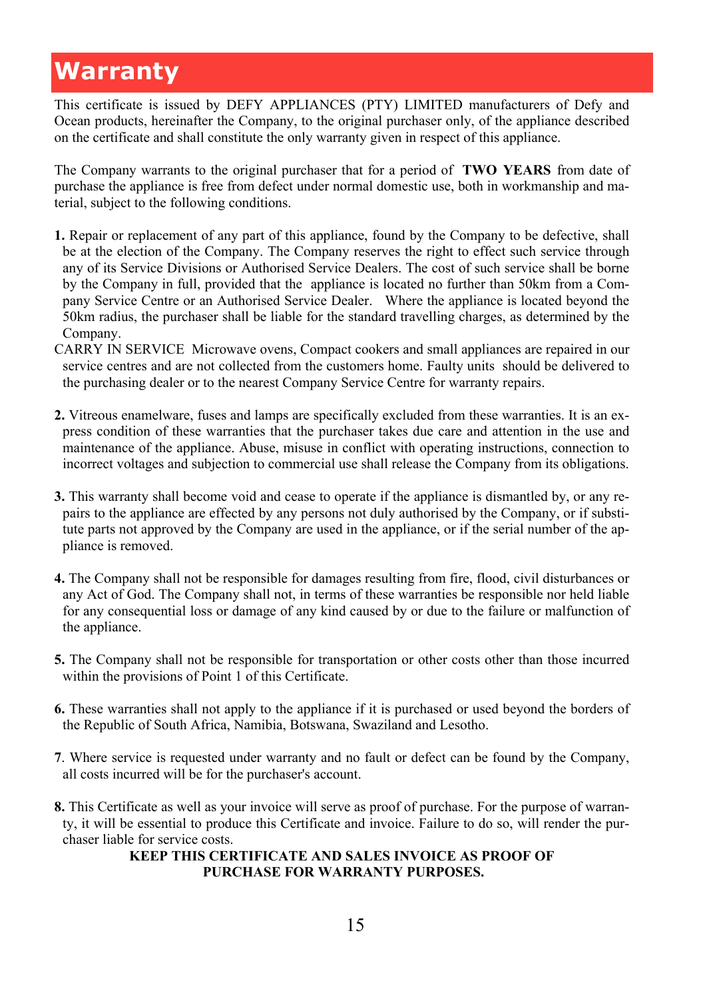#### **Warranty**

This certificate is issued by DEFY APPLIANCES (PTY) LIMITED manufacturers of Defy and Ocean products, hereinafter the Company, to the original purchaser only, of the appliance described on the certificate and shall constitute the only warranty given in respect of this appliance.

The Company warrants to the original purchaser that for a period of **TWO YEARS** from date of purchase the appliance is free from defect under normal domestic use, both in workmanship and material, subject to the following conditions.

- **1.** Repair or replacement of any part of this appliance, found by the Company to be defective, shall be at the election of the Company. The Company reserves the right to effect such service through any of its Service Divisions or Authorised Service Dealers. The cost of such service shall be borne by the Company in full, provided that the appliance is located no further than 50km from a Company Service Centre or an Authorised Service Dealer. Where the appliance is located beyond the 50km radius, the purchaser shall be liable for the standard travelling charges, as determined by the Company.
- CARRY IN SERVICE Microwave ovens, Compact cookers and small appliances are repaired in our service centres and are not collected from the customers home. Faulty units should be delivered to the purchasing dealer or to the nearest Company Service Centre for warranty repairs.
- **2.** Vitreous enamelware, fuses and lamps are specifically excluded from these warranties. It is an express condition of these warranties that the purchaser takes due care and attention in the use and maintenance of the appliance. Abuse, misuse in conflict with operating instructions, connection to incorrect voltages and subjection to commercial use shall release the Company from its obligations.
- **3.** This warranty shall become void and cease to operate if the appliance is dismantled by, or any repairs to the appliance are effected by any persons not duly authorised by the Company, or if substitute parts not approved by the Company are used in the appliance, or if the serial number of the appliance is removed.
- **4.** The Company shall not be responsible for damages resulting from fire, flood, civil disturbances or any Act of God. The Company shall not, in terms of these warranties be responsible nor held liable for any consequential loss or damage of any kind caused by or due to the failure or malfunction of the appliance.
- **5.** The Company shall not be responsible for transportation or other costs other than those incurred within the provisions of Point 1 of this Certificate.
- **6.** These warranties shall not apply to the appliance if it is purchased or used beyond the borders of the Republic of South Africa, Namibia, Botswana, Swaziland and Lesotho.
- **7**. Where service is requested under warranty and no fault or defect can be found by the Company, all costs incurred will be for the purchaser's account.
- **8.** This Certificate as well as your invoice will serve as proof of purchase. For the purpose of warranty, it will be essential to produce this Certificate and invoice. Failure to do so, will render the purchaser liable for service costs.

#### **KEEP THIS CERTIFICATE AND SALES INVOICE AS PROOF OF PURCHASE FOR WARRANTY PURPOSES.**